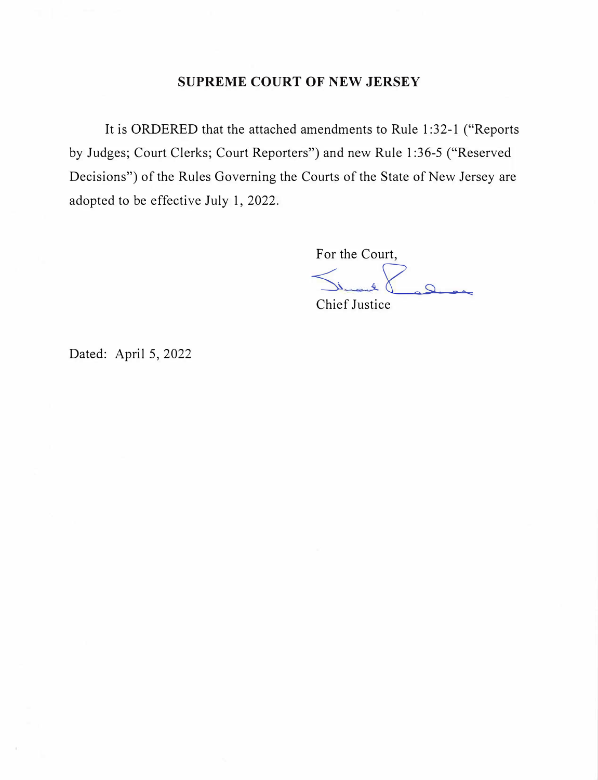## **SUPREME COURT OF NEW JERSEY**

It is ORDERED that the attached amendments to Rule 1 :32-1 ("Reports by Judges; Court Clerks; Court Reporters") and new Rule 1 :36-5 ("Reserved Decisions") of the Rules Governing the Courts of the State of New Jersey are adopted to be effective July 1, 2022.

> For the Court,  $\sum_{i=1}^n a_i$

Chief Justice

Dated: April 5, 2022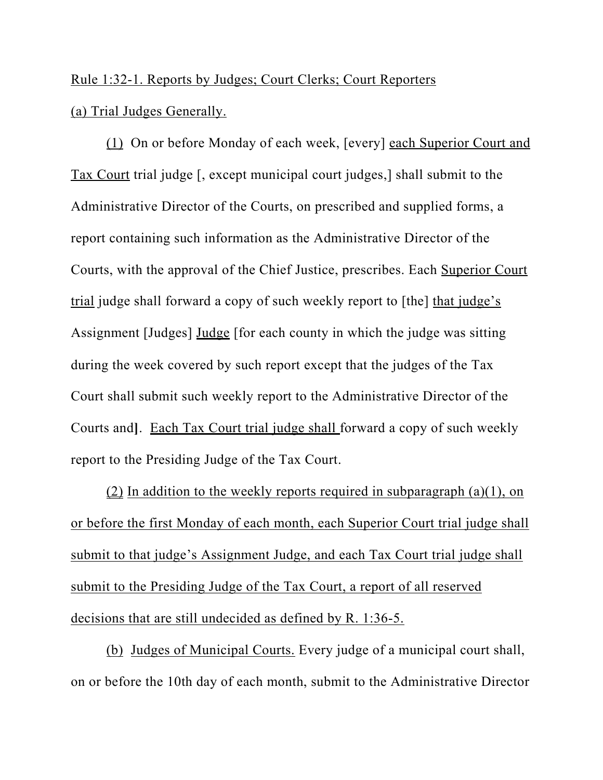## Rule 1:32-1. Reports by Judges; Court Clerks; Court Reporters (a) Trial Judges Generally.

(1) On or before Monday of each week, [every] each Superior Court and Tax Court trial judge [, except municipal court judges,] shall submit to the Administrative Director of the Courts, on prescribed and supplied forms, a report containing such information as the Administrative Director of the Courts, with the approval of the Chief Justice, prescribes. Each Superior Court trial judge shall forward a copy of such weekly report to [the] that judge's Assignment [Judges] Judge [for each county in which the judge was sitting during the week covered by such report except that the judges of the Tax Court shall submit such weekly report to the Administrative Director of the Courts and**]**. Each Tax Court trial judge shall forward a copy of such weekly report to the Presiding Judge of the Tax Court.

(2) In addition to the weekly reports required in subparagraph  $(a)(1)$ , on or before the first Monday of each month, each Superior Court trial judge shall submit to that judge's Assignment Judge, and each Tax Court trial judge shall submit to the Presiding Judge of the Tax Court, a report of all reserved decisions that are still undecided as defined by R. 1:36-5.

(b) Judges of Municipal Courts. Every judge of a municipal court shall, on or before the 10th day of each month, submit to the Administrative Director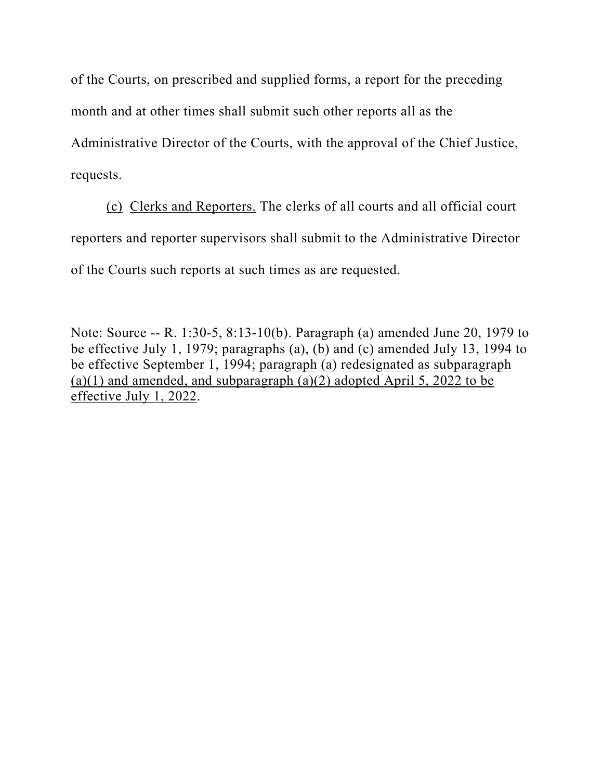of the Courts, on prescribed and supplied forms, a report for the preceding

month and at other times shall submit such other reports all as the

Administrative Director of the Courts, with the approval of the Chief Justice, requests.

(c) Clerks and Reporters. The clerks of all courts and all official court reporters and reporter supervisors shall submit to the Administrative Director of the Courts such reports at such times as are requested.

Note: Source -- R. 1:30-5, 8:13-10(b). Paragraph (a) amended June 20, 1979 to be effective July 1, 1979; paragraphs (a), (b) and (c) amended July 13, 1994 to be effective September 1, 1994; paragraph (a) redesignated as subparagraph  $(a)(1)$  and amended, and subparagraph  $(a)(2)$  adopted April 5, 2022 to be effective July 1, 2022.